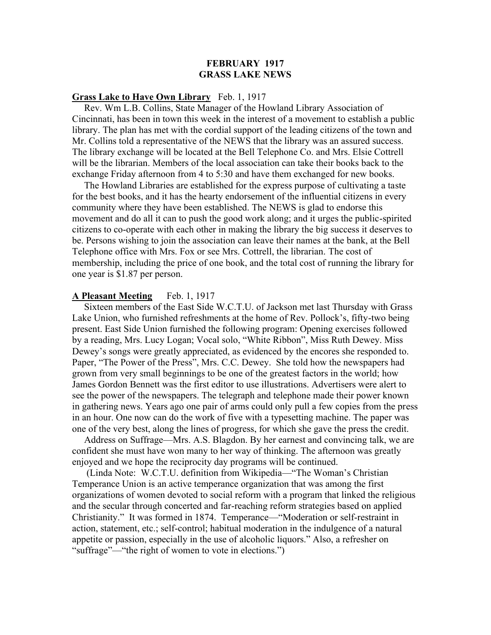# **FEBRUARY 1917 GRASS LAKE NEWS**

# **Grass Lake to Have Own Library** Feb. 1, 1917

 Rev. Wm L.B. Collins, State Manager of the Howland Library Association of Cincinnati, has been in town this week in the interest of a movement to establish a public library. The plan has met with the cordial support of the leading citizens of the town and Mr. Collins told a representative of the NEWS that the library was an assured success. The library exchange will be located at the Bell Telephone Co. and Mrs. Elsie Cottrell will be the librarian. Members of the local association can take their books back to the exchange Friday afternoon from 4 to 5:30 and have them exchanged for new books.

 The Howland Libraries are established for the express purpose of cultivating a taste for the best books, and it has the hearty endorsement of the influential citizens in every community where they have been established. The NEWS is glad to endorse this movement and do all it can to push the good work along; and it urges the public-spirited citizens to co-operate with each other in making the library the big success it deserves to be. Persons wishing to join the association can leave their names at the bank, at the Bell Telephone office with Mrs. Fox or see Mrs. Cottrell, the librarian. The cost of membership, including the price of one book, and the total cost of running the library for one year is \$1.87 per person.

# **A Pleasant Meeting** Feb. 1, 1917

 Sixteen members of the East Side W.C.T.U. of Jackson met last Thursday with Grass Lake Union, who furnished refreshments at the home of Rev. Pollock's, fifty-two being present. East Side Union furnished the following program: Opening exercises followed by a reading, Mrs. Lucy Logan; Vocal solo, "White Ribbon", Miss Ruth Dewey. Miss Dewey's songs were greatly appreciated, as evidenced by the encores she responded to. Paper, "The Power of the Press", Mrs. C.C. Dewey. She told how the newspapers had grown from very small beginnings to be one of the greatest factors in the world; how James Gordon Bennett was the first editor to use illustrations. Advertisers were alert to see the power of the newspapers. The telegraph and telephone made their power known in gathering news. Years ago one pair of arms could only pull a few copies from the press in an hour. One now can do the work of five with a typesetting machine. The paper was one of the very best, along the lines of progress, for which she gave the press the credit.

 Address on Suffrage—Mrs. A.S. Blagdon. By her earnest and convincing talk, we are confident she must have won many to her way of thinking. The afternoon was greatly enjoyed and we hope the reciprocity day programs will be continued.

 (Linda Note: W.C.T.U. definition from Wikipedia—"The Woman's Christian Temperance Union is an active temperance organization that was among the first organizations of women devoted to social reform with a program that linked the religious and the secular through concerted and far-reaching reform strategies based on applied Christianity." It was formed in 1874. Temperance—"Moderation or self-restraint in action, statement, etc.; self-control; habitual moderation in the indulgence of a natural appetite or passion, especially in the use of alcoholic liquors." Also, a refresher on "suffrage"—"the right of women to vote in elections.")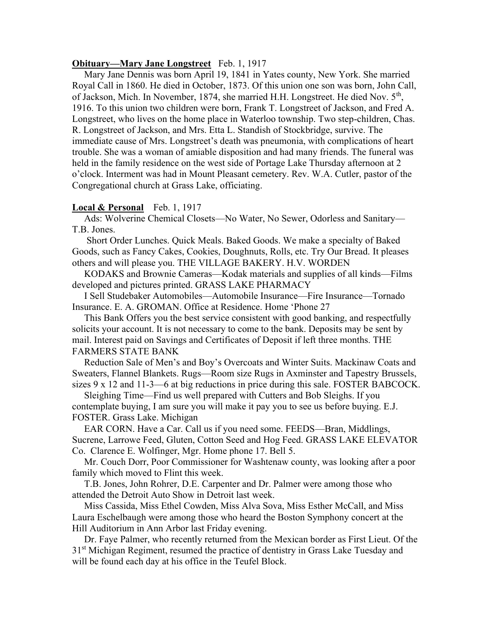## **Obituary—Mary Jane Longstreet** Feb. 1, 1917

 Mary Jane Dennis was born April 19, 1841 in Yates county, New York. She married Royal Call in 1860. He died in October, 1873. Of this union one son was born, John Call, of Jackson, Mich. In November, 1874, she married H.H. Longstreet. He died Nov. 5<sup>th</sup>, 1916. To this union two children were born, Frank T. Longstreet of Jackson, and Fred A. Longstreet, who lives on the home place in Waterloo township. Two step-children, Chas. R. Longstreet of Jackson, and Mrs. Etta L. Standish of Stockbridge, survive. The immediate cause of Mrs. Longstreet's death was pneumonia, with complications of heart trouble. She was a woman of amiable disposition and had many friends. The funeral was held in the family residence on the west side of Portage Lake Thursday afternoon at 2 o'clock. Interment was had in Mount Pleasant cemetery. Rev. W.A. Cutler, pastor of the Congregational church at Grass Lake, officiating.

## **Local & Personal** Feb. 1, 1917

 Ads: Wolverine Chemical Closets—No Water, No Sewer, Odorless and Sanitary— T.B. Jones.

 Short Order Lunches. Quick Meals. Baked Goods. We make a specialty of Baked Goods, such as Fancy Cakes, Cookies, Doughnuts, Rolls, etc. Try Our Bread. It pleases others and will please you. THE VILLAGE BAKERY. H.V. WORDEN

 KODAKS and Brownie Cameras—Kodak materials and supplies of all kinds—Films developed and pictures printed. GRASS LAKE PHARMACY

 I Sell Studebaker Automobiles—Automobile Insurance—Fire Insurance—Tornado Insurance. E. A. GROMAN. Office at Residence. Home 'Phone 27

 This Bank Offers you the best service consistent with good banking, and respectfully solicits your account. It is not necessary to come to the bank. Deposits may be sent by mail. Interest paid on Savings and Certificates of Deposit if left three months. THE FARMERS STATE BANK

 Reduction Sale of Men's and Boy's Overcoats and Winter Suits. Mackinaw Coats and Sweaters, Flannel Blankets. Rugs—Room size Rugs in Axminster and Tapestry Brussels, sizes  $9 \times 12$  and  $11-3$ —6 at big reductions in price during this sale. FOSTER BABCOCK.

 Sleighing Time—Find us well prepared with Cutters and Bob Sleighs. If you contemplate buying, I am sure you will make it pay you to see us before buying. E.J. FOSTER. Grass Lake. Michigan

 EAR CORN. Have a Car. Call us if you need some. FEEDS—Bran, Middlings, Sucrene, Larrowe Feed, Gluten, Cotton Seed and Hog Feed. GRASS LAKE ELEVATOR Co. Clarence E. Wolfinger, Mgr. Home phone 17. Bell 5.

 Mr. Couch Dorr, Poor Commissioner for Washtenaw county, was looking after a poor family which moved to Flint this week.

 T.B. Jones, John Rohrer, D.E. Carpenter and Dr. Palmer were among those who attended the Detroit Auto Show in Detroit last week.

 Miss Cassida, Miss Ethel Cowden, Miss Alva Sova, Miss Esther McCall, and Miss Laura Eschelbaugh were among those who heard the Boston Symphony concert at the Hill Auditorium in Ann Arbor last Friday evening.

 Dr. Faye Palmer, who recently returned from the Mexican border as First Lieut. Of the 3<sup>1st</sup> Michigan Regiment, resumed the practice of dentistry in Grass Lake Tuesday and will be found each day at his office in the Teufel Block.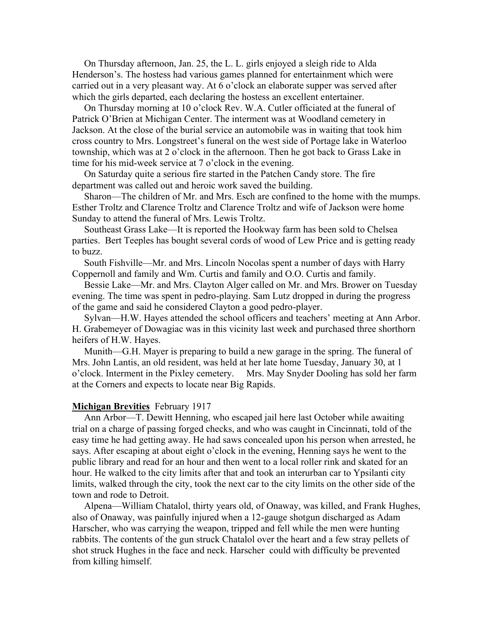On Thursday afternoon, Jan. 25, the L. L. girls enjoyed a sleigh ride to Alda Henderson's. The hostess had various games planned for entertainment which were carried out in a very pleasant way. At 6 o'clock an elaborate supper was served after which the girls departed, each declaring the hostess an excellent entertainer.

 On Thursday morning at 10 o'clock Rev. W.A. Cutler officiated at the funeral of Patrick O'Brien at Michigan Center. The interment was at Woodland cemetery in Jackson. At the close of the burial service an automobile was in waiting that took him cross country to Mrs. Longstreet's funeral on the west side of Portage lake in Waterloo township, which was at 2 o'clock in the afternoon. Then he got back to Grass Lake in time for his mid-week service at 7 o'clock in the evening.

 On Saturday quite a serious fire started in the Patchen Candy store. The fire department was called out and heroic work saved the building.

 Sharon—The children of Mr. and Mrs. Esch are confined to the home with the mumps. Esther Troltz and Clarence Troltz and Clarence Troltz and wife of Jackson were home Sunday to attend the funeral of Mrs. Lewis Troltz.

 Southeast Grass Lake—It is reported the Hookway farm has been sold to Chelsea parties. Bert Teeples has bought several cords of wood of Lew Price and is getting ready to buzz.

 South Fishville—Mr. and Mrs. Lincoln Nocolas spent a number of days with Harry Coppernoll and family and Wm. Curtis and family and O.O. Curtis and family.

 Bessie Lake—Mr. and Mrs. Clayton Alger called on Mr. and Mrs. Brower on Tuesday evening. The time was spent in pedro-playing. Sam Lutz dropped in during the progress of the game and said he considered Clayton a good pedro-player.

 Sylvan—H.W. Hayes attended the school officers and teachers' meeting at Ann Arbor. H. Grabemeyer of Dowagiac was in this vicinity last week and purchased three shorthorn heifers of H.W. Hayes.

 Munith—G.H. Mayer is preparing to build a new garage in the spring. The funeral of Mrs. John Lantis, an old resident, was held at her late home Tuesday, January 30, at 1 o'clock. Interment in the Pixley cemetery. Mrs. May Snyder Dooling has sold her farm at the Corners and expects to locate near Big Rapids.

#### **Michigan Brevities** February 1917

 Ann Arbor—T. Dewitt Henning, who escaped jail here last October while awaiting trial on a charge of passing forged checks, and who was caught in Cincinnati, told of the easy time he had getting away. He had saws concealed upon his person when arrested, he says. After escaping at about eight o'clock in the evening, Henning says he went to the public library and read for an hour and then went to a local roller rink and skated for an hour. He walked to the city limits after that and took an interurban car to Ypsilanti city limits, walked through the city, took the next car to the city limits on the other side of the town and rode to Detroit.

 Alpena—William Chatalol, thirty years old, of Onaway, was killed, and Frank Hughes, also of Onaway, was painfully injured when a 12-gauge shotgun discharged as Adam Harscher, who was carrying the weapon, tripped and fell while the men were hunting rabbits. The contents of the gun struck Chatalol over the heart and a few stray pellets of shot struck Hughes in the face and neck. Harscher could with difficulty be prevented from killing himself.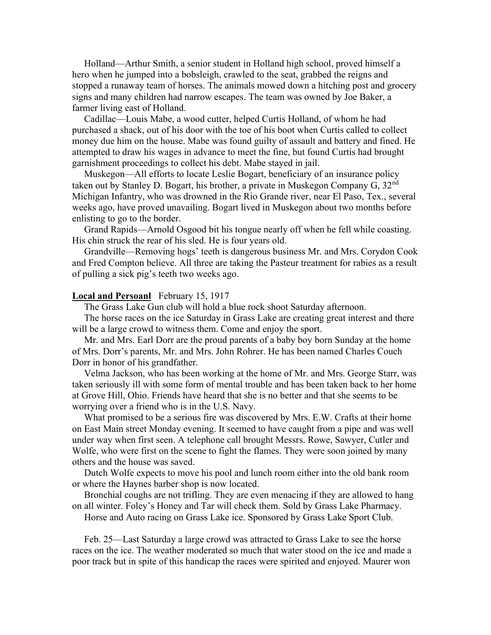Holland—Arthur Smith, a senior student in Holland high school, proved himself a hero when he jumped into a bobsleigh, crawled to the seat, grabbed the reigns and stopped a runaway team of horses. The animals mowed down a hitching post and grocery signs and many children had narrow escapes. The team was owned by Joe Baker, a farmer living east of Holland.

 Cadillac—Louis Mabe, a wood cutter, helped Curtis Holland, of whom he had purchased a shack, out of his door with the toe of his boot when Curtis called to collect money due him on the house. Mabe was found guilty of assault and battery and fined. He attempted to draw his wages in advance to meet the fine, but found Curtis had brought garnishment proceedings to collect his debt. Mabe stayed in jail.

 Muskegon—All efforts to locate Leslie Bogart, beneficiary of an insurance policy taken out by Stanley D. Bogart, his brother, a private in Muskegon Company G,  $32<sup>nd</sup>$ Michigan Infantry, who was drowned in the Rio Grande river, near El Paso, Tex., several weeks ago, have proved unavailing. Bogart lived in Muskegon about two months before enlisting to go to the border.

 Grand Rapids—Arnold Osgood bit his tongue nearly off when he fell while coasting. His chin struck the rear of his sled. He is four years old.

 Grandville—Removing hogs' teeth is dangerous business Mr. and Mrs. Corydon Cook and Fred Compton believe. All three are taking the Pasteur treatment for rabies as a result of pulling a sick pig's teeth two weeks ago.

# **Local and Persoanl** February 15, 1917

The Grass Lake Gun club will hold a blue rock shoot Saturday afternoon.

 The horse races on the ice Saturday in Grass Lake are creating great interest and there will be a large crowd to witness them. Come and enjoy the sport.

 Mr. and Mrs. Earl Dorr are the proud parents of a baby boy born Sunday at the home of Mrs. Dorr's parents, Mr. and Mrs. John Rohrer. He has been named Charles Couch Dorr in honor of his grandfather.

 Velma Jackson, who has been working at the home of Mr. and Mrs. George Starr, was taken seriously ill with some form of mental trouble and has been taken back to her home at Grove Hill, Ohio. Friends have heard that she is no better and that she seems to be worrying over a friend who is in the U.S. Navy.

 What promised to be a serious fire was discovered by Mrs. E.W. Crafts at their home on East Main street Monday evening. It seemed to have caught from a pipe and was well under way when first seen. A telephone call brought Messrs. Rowe, Sawyer, Cutler and Wolfe, who were first on the scene to fight the flames. They were soon joined by many others and the house was saved.

 Dutch Wolfe expects to move his pool and lunch room either into the old bank room or where the Haynes barber shop is now located.

 Bronchial coughs are not trifling. They are even menacing if they are allowed to hang on all winter. Foley's Honey and Tar will check them. Sold by Grass Lake Pharmacy.

Horse and Auto racing on Grass Lake ice. Sponsored by Grass Lake Sport Club.

 Feb. 25—Last Saturday a large crowd was attracted to Grass Lake to see the horse races on the ice. The weather moderated so much that water stood on the ice and made a poor track but in spite of this handicap the races were spirited and enjoyed. Maurer won